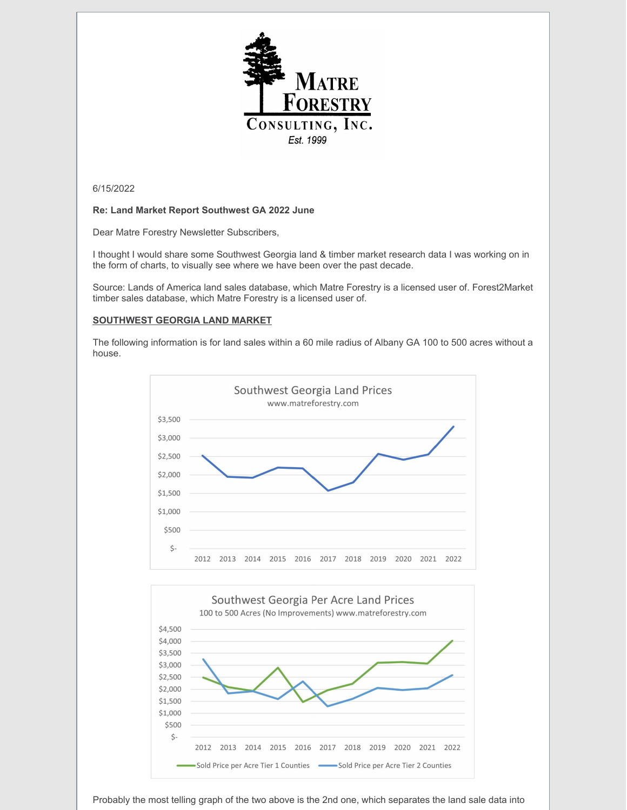

6/15/2022

# **Re: Land Market Report Southwest GA 2022 June**

Dear Matre Forestry Newsletter Subscribers,

I thought I would share some Southwest Georgia land & timber market research data I was working on in the form of charts, to visually see where we have been over the past decade.

Source: Lands of America land sales database, which Matre Forestry is a licensed user of. Forest2Market timber sales database, which Matre Forestry is a licensed user of.

# **SOUTHWEST GEORGIA LAND MARKET**

The following information is for land sales within a 60 mile radius of Albany GA 100 to 500 acres without a house.





Probably the most telling graph of the two above is the 2nd one, which separates the land sale data into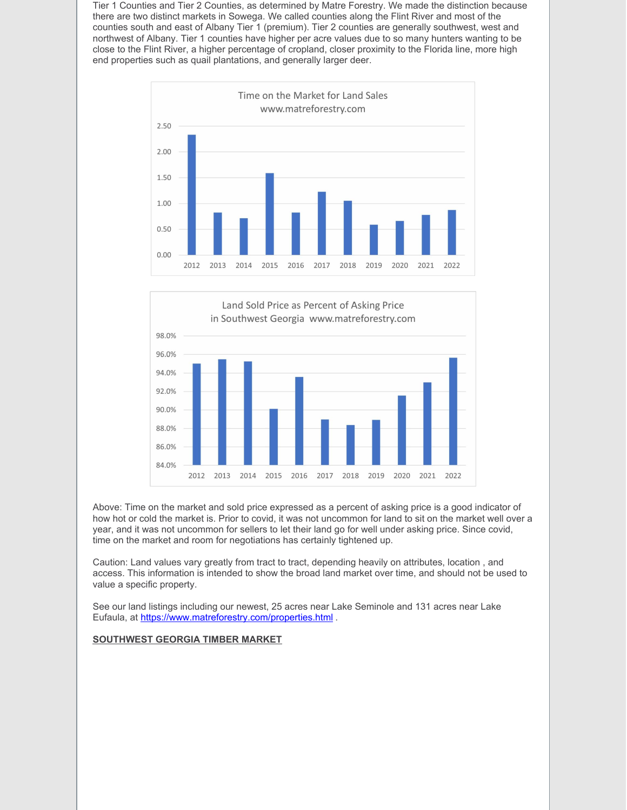Tier 1 Counties and Tier 2 Counties, as determined by Matre Forestry. We made the distinction because there are two distinct markets in Sowega. We called counties along the Flint River and most of the counties south and east of Albany Tier 1 (premium). Tier 2 counties are generally southwest, west and northwest of Albany. Tier 1 counties have higher per acre values due to so many hunters wanting to be close to the Flint River, a higher percentage of cropland, closer proximity to the Florida line, more high end properties such as quail plantations, and generally larger deer.





Above: Time on the market and sold price expressed as a percent of asking price is a good indicator of how hot or cold the market is. Prior to covid, it was not uncommon for land to sit on the market well over a year, and it was not uncommon for sellers to let their land go for well under asking price. Since covid, time on the market and room for negotiations has certainly tightened up.

Caution: Land values vary greatly from tract to tract, depending heavily on attributes, location , and access. This information is intended to show the broad land market over time, and should not be used to value a specific property.

See our land listings including our newest, 25 acres near Lake Seminole and 131 acres near Lake Eufaula, at <https://www.matreforestry.com/properties.html> .

## **SOUTHWEST GEORGIA TIMBER MARKET**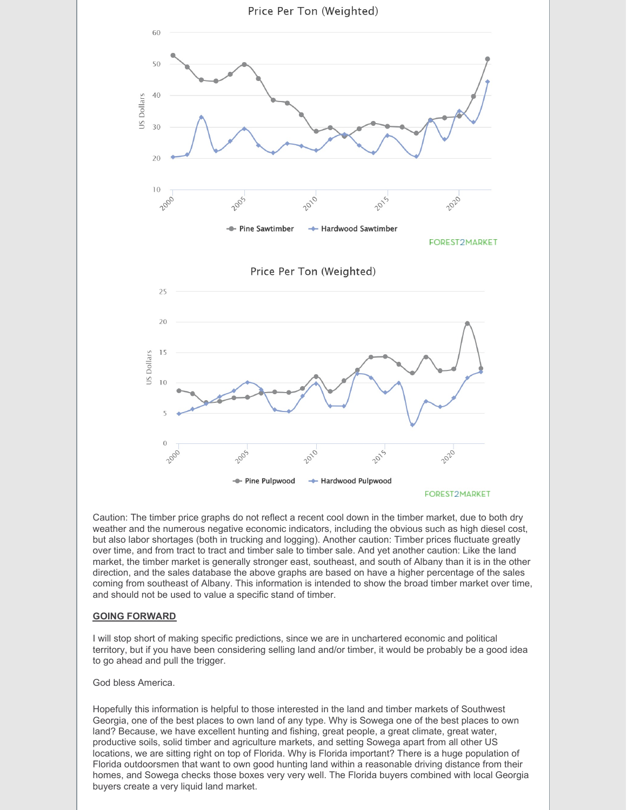

Caution: The timber price graphs do not reflect a recent cool down in the timber market, due to both dry weather and the numerous negative economic indicators, including the obvious such as high diesel cost, but also labor shortages (both in trucking and logging). Another caution: Timber prices fluctuate greatly over time, and from tract to tract and timber sale to timber sale. And yet another caution: Like the land market, the timber market is generally stronger east, southeast, and south of Albany than it is in the other direction, and the sales database the above graphs are based on have a higher percentage of the sales coming from southeast of Albany. This information is intended to show the broad timber market over time, and should not be used to value a specific stand of timber.

## **GOING FORWARD**

I will stop short of making specific predictions, since we are in unchartered economic and political territory, but if you have been considering selling land and/or timber, it would be probably be a good idea to go ahead and pull the trigger.

#### God bless America.

Hopefully this information is helpful to those interested in the land and timber markets of Southwest Georgia, one of the best places to own land of any type. Why is Sowega one of the best places to own land? Because, we have excellent hunting and fishing, great people, a great climate, great water, productive soils, solid timber and agriculture markets, and setting Sowega apart from all other US locations, we are sitting right on top of Florida. Why is Florida important? There is a huge population of Florida outdoorsmen that want to own good hunting land within a reasonable driving distance from their homes, and Sowega checks those boxes very very well. The Florida buyers combined with local Georgia buyers create a very liquid land market.